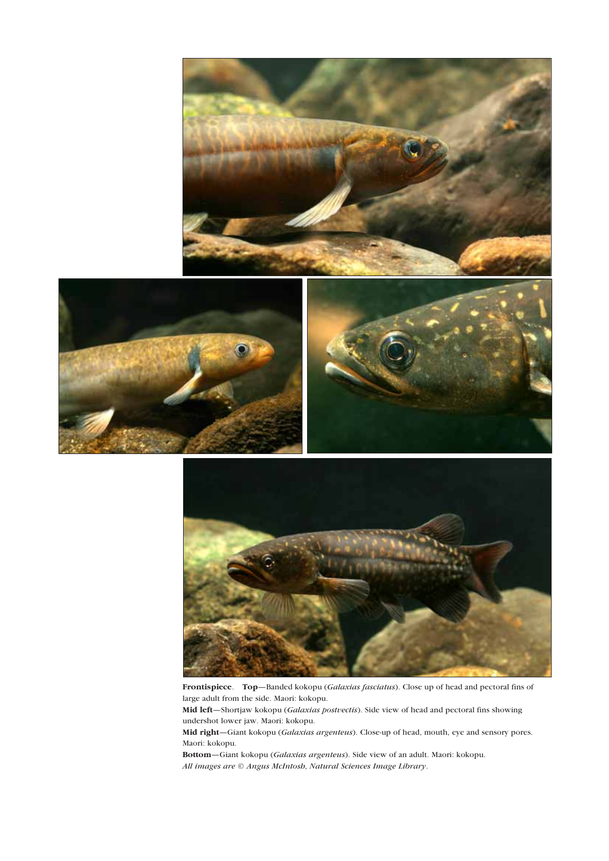



Frontispiece. Top—Banded kokopu (*Galaxias fasciatus*). Close up of head and pectoral fins of large adult from the side. Maori: kokopu. Mid left—Shortjaw kokopu (*Galaxias postvectis*). Side view of head and pectoral fins showing undershot lower jaw. Maori: kokopu. Mid right—Giant kokopu (*Galaxias argenteus*). Close-up of head, mouth, eye and sensory pores. Maori: kokopu.

Bottom—Giant kokopu (*Galaxias argenteus*). Side view of an adult. Maori: kokopu. *All images are © Angus McIntosh, Natural Sciences Image Library*.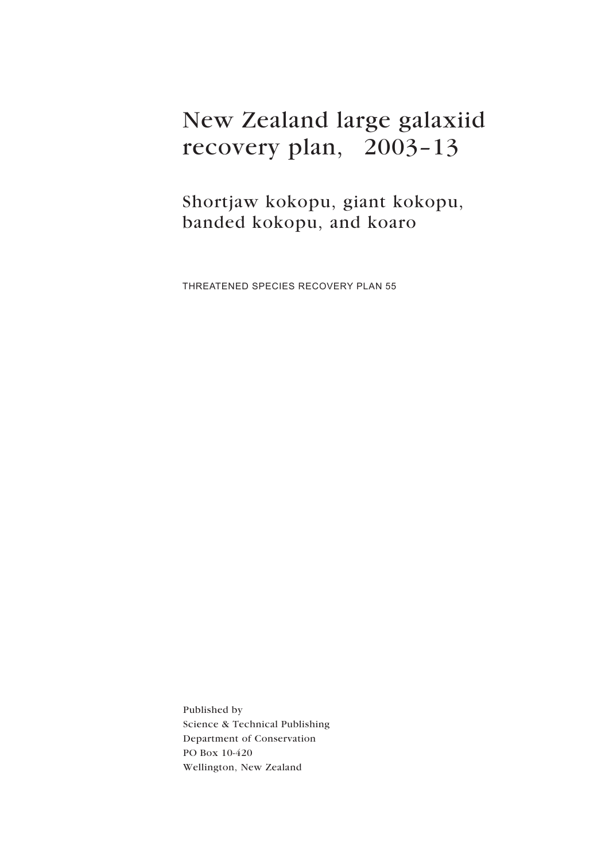# New Zealand large galaxiid recovery plan, 2003–13

Shortjaw kokopu, giant kokopu, banded kokopu, and koaro

THREATENED SPECIES RECOVERY PLAN 55

Published by Science & Technical Publishing Department of Conservation PO Box 10-420 Wellington, New Zealand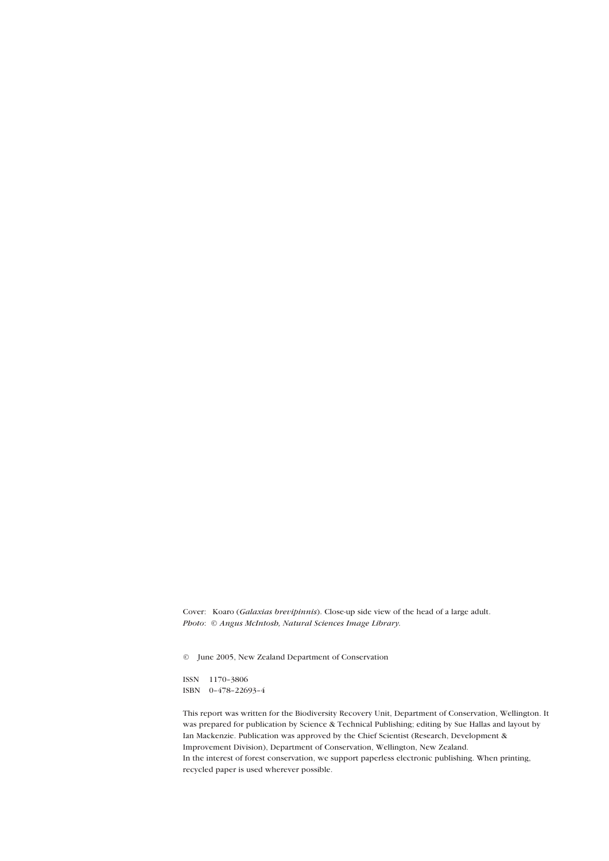Cover: Koaro (*Galaxias brevipinnis*). Close-up side view of the head of a large adult. *Photo*: *© Angus McIntosh, Natural Sciences Image Library.*

© June 2005, New Zealand Department of Conservation

ISSN 1170–3806 ISBN 0–478–22693–4

This report was written for the Biodiversity Recovery Unit, Department of Conservation, Wellington. It was prepared for publication by Science & Technical Publishing; editing by Sue Hallas and layout by Ian Mackenzie. Publication was approved by the Chief Scientist (Research, Development & Improvement Division), Department of Conservation, Wellington, New Zealand. In the interest of forest conservation, we support paperless electronic publishing. When printing, recycled paper is used wherever possible.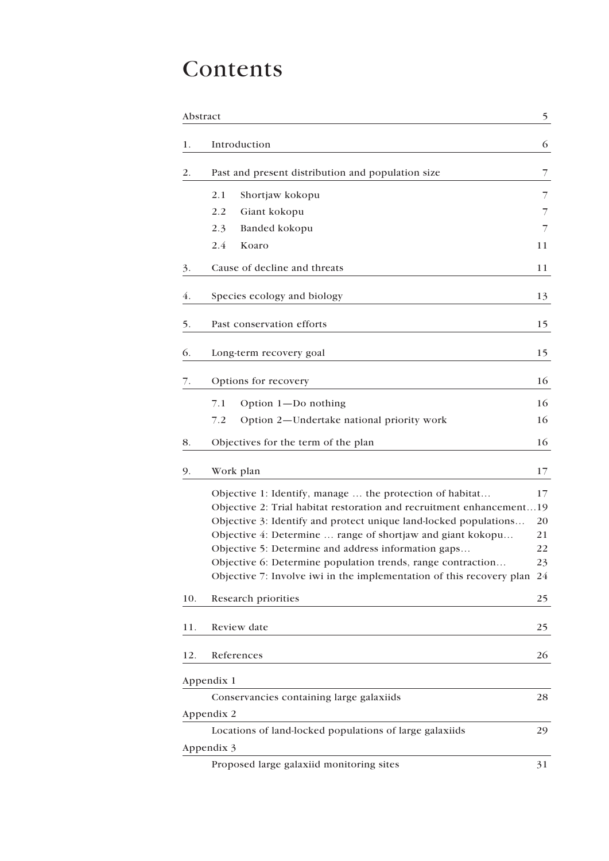# Contents

| Abstract |                                                                                                                    | 5        |
|----------|--------------------------------------------------------------------------------------------------------------------|----------|
| 1.       | Introduction                                                                                                       | 6        |
| 2.       | Past and present distribution and population size                                                                  | 7        |
|          | 2.1<br>Shortjaw kokopu                                                                                             | 7        |
|          | 2.2<br>Giant kokopu                                                                                                | 7        |
|          | 2.3<br>Banded kokopu                                                                                               | 7        |
|          | 2.4<br>Koaro                                                                                                       | 11       |
| 3.       | Cause of decline and threats                                                                                       | 11       |
| 4.       | Species ecology and biology                                                                                        | 13       |
| 5.       | Past conservation efforts                                                                                          | 15       |
| 6.       | Long-term recovery goal                                                                                            | 15       |
| 7.       | Options for recovery                                                                                               | 16       |
|          | 7.1<br>Option $1 - Do$ nothing                                                                                     | 16       |
|          | Option 2-Undertake national priority work<br>7.2                                                                   | 16       |
| 8.       | Objectives for the term of the plan                                                                                | 16       |
| 9.       | Work plan                                                                                                          | 17       |
|          | Objective 1: Identify, manage  the protection of habitat                                                           | 17       |
|          | Objective 2: Trial habitat restoration and recruitment enhancement19                                               |          |
|          | Objective 3: Identify and protect unique land-locked populations                                                   | 20       |
|          | Objective 4: Determine  range of shortjaw and giant kokopu                                                         | 21       |
|          | Objective 5: Determine and address information gaps<br>Objective 6: Determine population trends, range contraction | 22<br>23 |
|          | Objective 7: Involve iwi in the implementation of this recovery plan 24                                            |          |
| 10.      | Research priorities                                                                                                | 25       |
| 11.      | Review date                                                                                                        | 25       |
| 12.      | References                                                                                                         | 26       |
|          | Appendix 1                                                                                                         |          |
|          | Conservancies containing large galaxiids                                                                           | 28       |
|          | Appendix 2                                                                                                         |          |
|          | Locations of land-locked populations of large galaxiids                                                            | 29       |
|          | Appendix 3                                                                                                         |          |
|          | Proposed large galaxiid monitoring sites                                                                           | 31       |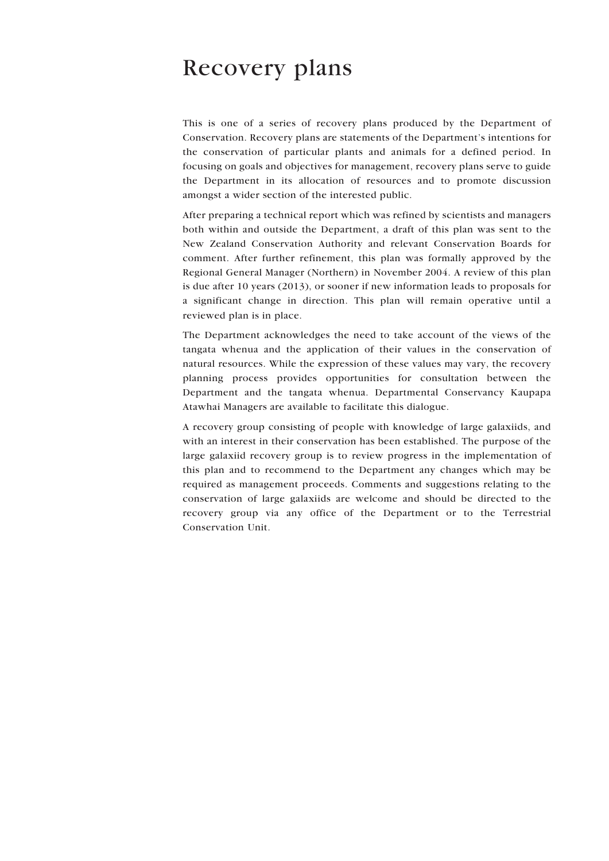### Recovery plans

This is one of a series of recovery plans produced by the Department of Conservation. Recovery plans are statements of the Department's intentions for the conservation of particular plants and animals for a defined period. In focusing on goals and objectives for management, recovery plans serve to guide the Department in its allocation of resources and to promote discussion amongst a wider section of the interested public.

After preparing a technical report which was refined by scientists and managers both within and outside the Department, a draft of this plan was sent to the New Zealand Conservation Authority and relevant Conservation Boards for comment. After further refinement, this plan was formally approved by the Regional General Manager (Northern) in November 2004. A review of this plan is due after 10 years (2013), or sooner if new information leads to proposals for a significant change in direction. This plan will remain operative until a reviewed plan is in place.

The Department acknowledges the need to take account of the views of the tangata whenua and the application of their values in the conservation of natural resources. While the expression of these values may vary, the recovery planning process provides opportunities for consultation between the Department and the tangata whenua. Departmental Conservancy Kaupapa Atawhai Managers are available to facilitate this dialogue.

A recovery group consisting of people with knowledge of large galaxiids, and with an interest in their conservation has been established. The purpose of the large galaxiid recovery group is to review progress in the implementation of this plan and to recommend to the Department any changes which may be required as management proceeds. Comments and suggestions relating to the conservation of large galaxiids are welcome and should be directed to the recovery group via any office of the Department or to the Terrestrial Conservation Unit.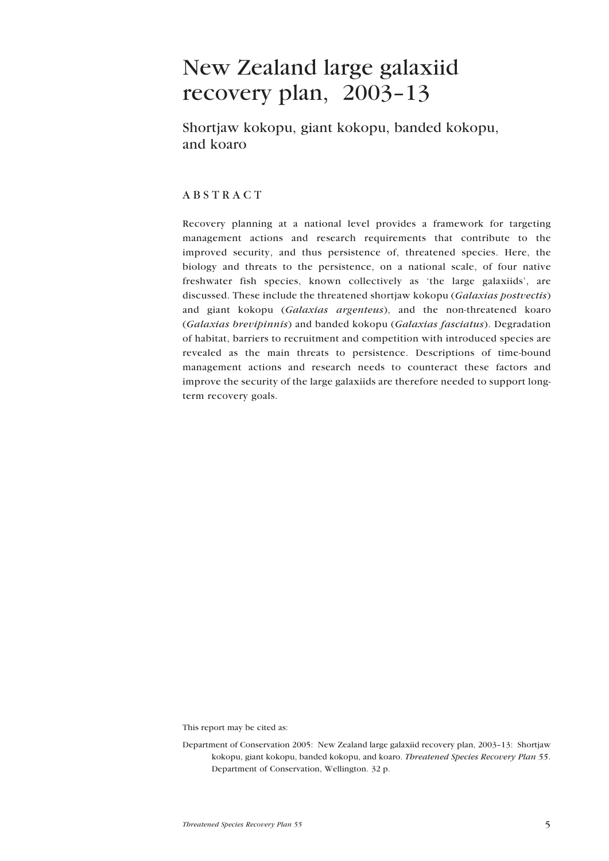### <span id="page-5-0"></span>New Zealand large galaxiid recovery plan, 2003–13

Shortjaw kokopu, giant kokopu, banded kokopu, and koaro

#### ABSTRACT

Recovery planning at a national level provides a framework for targeting management actions and research requirements that contribute to the improved security, and thus persistence of, threatened species. Here, the biology and threats to the persistence, on a national scale, of four native freshwater fish species, known collectively as 'the large galaxiids', are discussed. These include the threatened shortjaw kokopu (*Galaxias postvectis*) and giant kokopu (*Galaxias argenteus*), and the non-threatened koaro (*Galaxias brevipinnis*) and banded kokopu (*Galaxias fasciatus*). Degradation of habitat, barriers to recruitment and competition with introduced species are revealed as the main threats to persistence. Descriptions of time-bound management actions and research needs to counteract these factors and improve the security of the large galaxiids are therefore needed to support longterm recovery goals.

This report may be cited as:

Department of Conservation 2005: New Zealand large galaxiid recovery plan, 2003–13: Shortjaw kokopu, giant kokopu, banded kokopu, and koaro. *Threatened Species Recovery Plan 55*. Department of Conservation, Wellington. 32 p.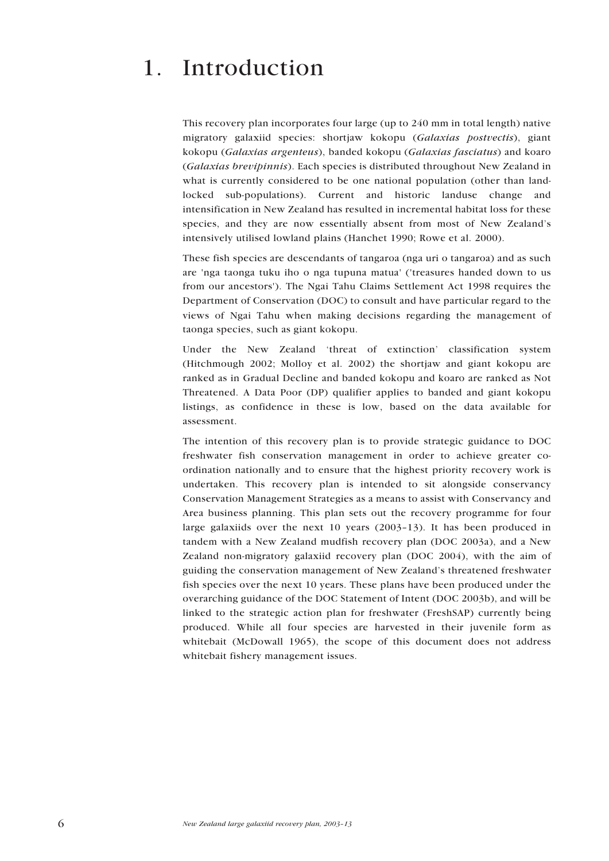## <span id="page-6-0"></span>1. Introduction

This recovery plan incorporates four large (up to 240 mm in total length) native migratory galaxiid species: shortjaw kokopu (*Galaxias postvectis*), giant kokopu (*Galaxias argenteus*), banded kokopu (*Galaxias fasciatus*) and koaro (*Galaxias brevipinnis*). Each species is distributed throughout New Zealand in what is currently considered to be one national population (other than landlocked sub-populations). Current and historic landuse change and intensification in New Zealand has resulted in incremental habitat loss for these species, and they are now essentially absent from most of New Zealand's intensively utilised lowland plains (Hanchet 1990; Rowe et al. 2000).

These fish species are descendants of tangaroa (nga uri o tangaroa) and as such are 'nga taonga tuku iho o nga tupuna matua' ('treasures handed down to us from our ancestors'). The Ngai Tahu Claims Settlement Act 1998 requires the Department of Conservation (DOC) to consult and have particular regard to the views of Ngai Tahu when making decisions regarding the management of taonga species, such as giant kokopu.

Under the New Zealand 'threat of extinction' classification system (Hitchmough 2002; Molloy et al. 2002) the shortjaw and giant kokopu are ranked as in Gradual Decline and banded kokopu and koaro are ranked as Not Threatened. A Data Poor (DP) qualifier applies to banded and giant kokopu listings, as confidence in these is low, based on the data available for assessment.

The intention of this recovery plan is to provide strategic guidance to DOC freshwater fish conservation management in order to achieve greater coordination nationally and to ensure that the highest priority recovery work is undertaken. This recovery plan is intended to sit alongside conservancy Conservation Management Strategies as a means to assist with Conservancy and Area business planning. This plan sets out the recovery programme for four large galaxiids over the next 10 years (2003–13). It has been produced in tandem with a New Zealand mudfish recovery plan (DOC 2003a), and a New Zealand non-migratory galaxiid recovery plan (DOC 2004), with the aim of guiding the conservation management of New Zealand's threatened freshwater fish species over the next 10 years. These plans have been produced under the overarching guidance of the DOC Statement of Intent (DOC 2003b), and will be linked to the strategic action plan for freshwater (FreshSAP) currently being produced. While all four species are harvested in their juvenile form as whitebait (McDowall 1965), the scope of this document does not address whitebait fishery management issues.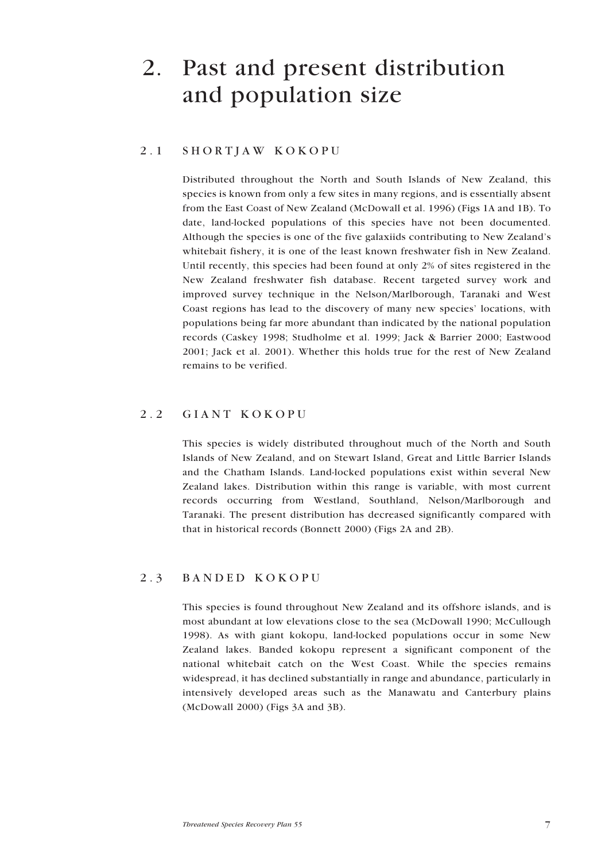# <span id="page-7-0"></span>2. Past and present distribution and population size

#### 2.1 SHORTJAW KOKOPU

Distributed throughout the North and South Islands of New Zealand, this species is known from only a few sites in many regions, and is essentially absent from the East Coast of New Zealand (McDowall et al. 1996) (Figs 1A and 1B). To date, land-locked populations of this species have not been documented. Although the species is one of the five galaxiids contributing to New Zealand's whitebait fishery, it is one of the least known freshwater fish in New Zealand. Until recently, this species had been found at only 2% of sites registered in the New Zealand freshwater fish database. Recent targeted survey work and improved survey technique in the Nelson/Marlborough, Taranaki and West Coast regions has lead to the discovery of many new species' locations, with populations being far more abundant than indicated by the national population records (Caskey 1998; Studholme et al. 1999; Jack & Barrier 2000; Eastwood 2001; Jack et al. 2001). Whether this holds true for the rest of New Zealand remains to be verified.

#### 2.2 GIANT KOKOPU

This species is widely distributed throughout much of the North and South Islands of New Zealand, and on Stewart Island, Great and Little Barrier Islands and the Chatham Islands. Land-locked populations exist within several New Zealand lakes. Distribution within this range is variable, with most current records occurring from Westland, Southland, Nelson/Marlborough and Taranaki. The present distribution has decreased significantly compared with that in historical records (Bonnett 2000) (Figs 2A and 2B).

### 2.3 BANDED KOKOPU

This species is found throughout New Zealand and its offshore islands, and is most abundant at low elevations close to the sea (McDowall 1990; McCullough 1998). As with giant kokopu, land-locked populations occur in some New Zealand lakes. Banded kokopu represent a significant component of the national whitebait catch on the West Coast. While the species remains widespread, it has declined substantially in range and abundance, particularly in intensively developed areas such as the Manawatu and Canterbury plains (McDowall 2000) (Figs 3A and 3B).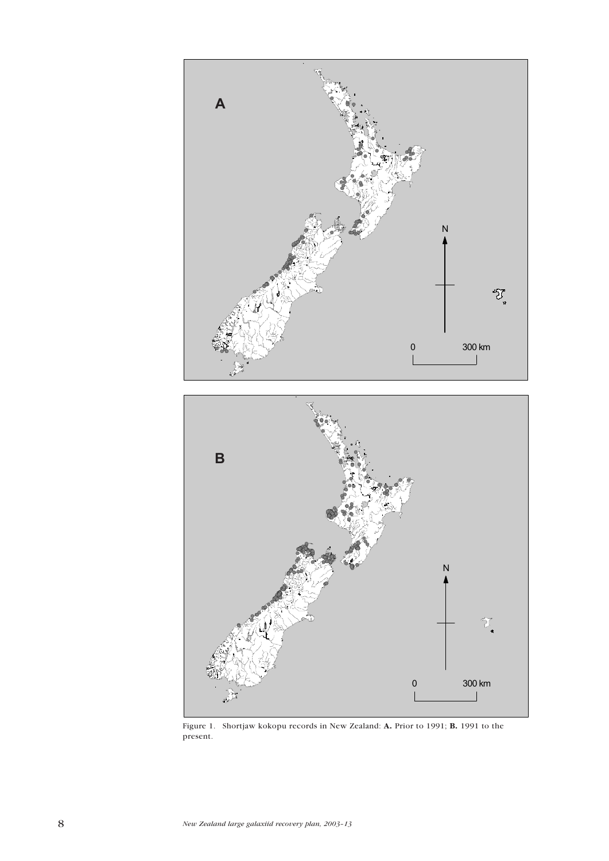

Figure 1. Shortjaw kokopu records in New Zealand: A. Prior to 1991; B. 1991 to the present.